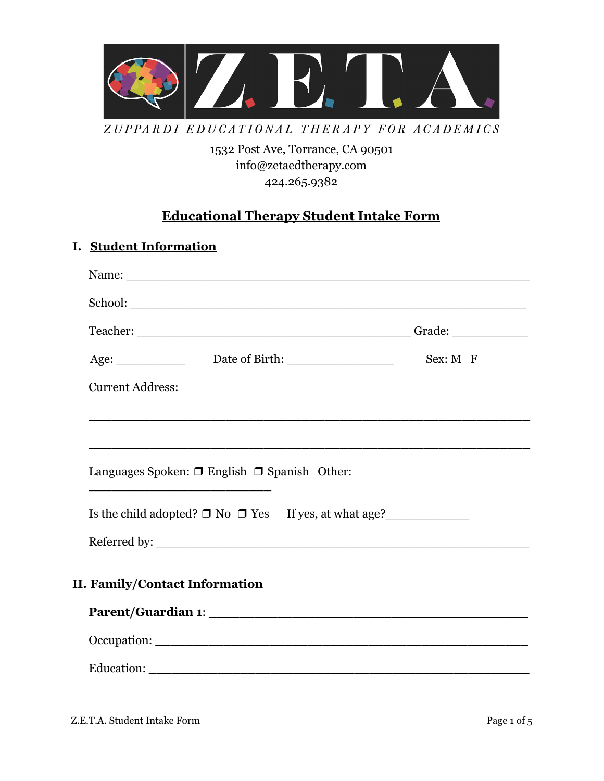

ZUPPARDI EDUCATIONAL THERAPY FOR ACADEMICS

1532 Post Ave, Torrance, CA 90501 [info@zetaedtherapy.com](mailto:info@zetaedtherapy.com) 424.265.9382

## **Educational Therapy Student Intake Form**

## **I. Student Information**

| Name:                                                           |              |
|-----------------------------------------------------------------|--------------|
|                                                                 |              |
|                                                                 |              |
|                                                                 | $Sex: M \ F$ |
| <b>Current Address:</b>                                         |              |
|                                                                 |              |
|                                                                 |              |
| Languages Spoken: $\Box$ English $\Box$ Spanish Other:          |              |
| Is the child adopted? $\Box$ No $\Box$ Yes If yes, at what age? |              |
|                                                                 |              |
| <b>II. Family/Contact Information</b>                           |              |
|                                                                 |              |
|                                                                 |              |
|                                                                 |              |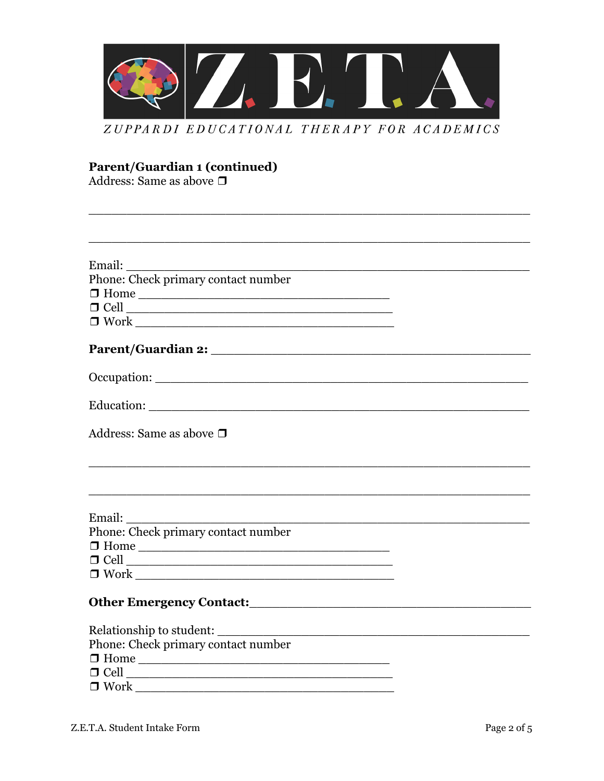

ZUPPARDI EDUCATIONAL THERAPY FOR ACADEMICS

# **Parent/Guardian 1 (continued)**<br>Address: Same as above  $\Box$

| Phone: Check primary contact number                                                                                                                                                                                                  |  |
|--------------------------------------------------------------------------------------------------------------------------------------------------------------------------------------------------------------------------------------|--|
|                                                                                                                                                                                                                                      |  |
|                                                                                                                                                                                                                                      |  |
| $\begin{tabular}{ c c c } \hline $\blacksquare$ Work \begin{tabular}{ c c c } \hline $\blacksquare$ With the image and the image is a function of the image. \hline \hline \end{tabular} \end{tabular}$                              |  |
|                                                                                                                                                                                                                                      |  |
|                                                                                                                                                                                                                                      |  |
|                                                                                                                                                                                                                                      |  |
| Address: Same as above $\Box$                                                                                                                                                                                                        |  |
| <u> 1989 - Johann Johann Harry Harry Harry Harry Harry Harry Harry Harry Harry Harry Harry Harry Harry Harry Harry Harry Harry Harry Harry Harry Harry Harry Harry Harry Harry Harry Harry Harry Harry Harry Harry Harry Harry H</u> |  |
|                                                                                                                                                                                                                                      |  |
| Phone: Check primary contact number                                                                                                                                                                                                  |  |
| $\Box$ Home                                                                                                                                                                                                                          |  |
| $\Box$ Cell $\Box$                                                                                                                                                                                                                   |  |
|                                                                                                                                                                                                                                      |  |
|                                                                                                                                                                                                                                      |  |
|                                                                                                                                                                                                                                      |  |
| Phone: Check primary contact number                                                                                                                                                                                                  |  |
|                                                                                                                                                                                                                                      |  |
| $\Box$ Home                                                                                                                                                                                                                          |  |
| $\Box$ Cell $\Box$                                                                                                                                                                                                                   |  |
| $\Box$ Work $\Box$                                                                                                                                                                                                                   |  |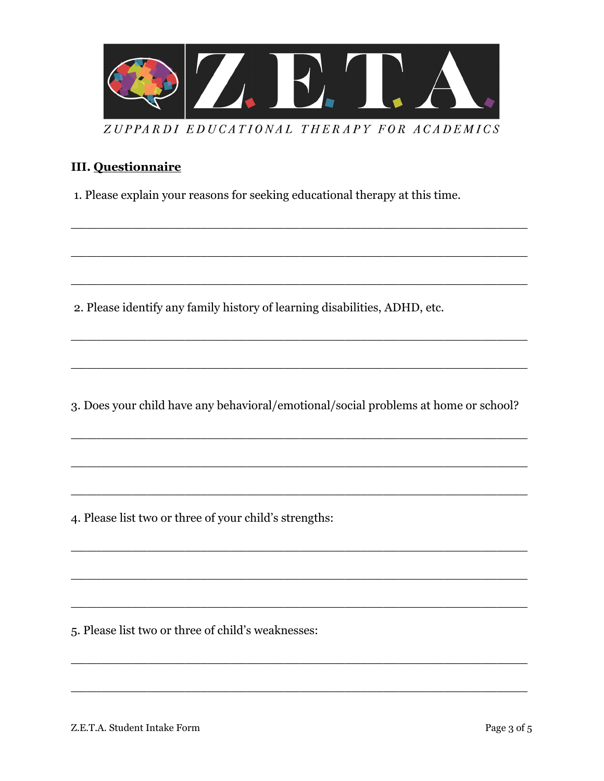

#### **III.** Questionnaire

1. Please explain your reasons for seeking educational therapy at this time.

2. Please identify any family history of learning disabilities, ADHD, etc.

3. Does your child have any behavioral/emotional/social problems at home or school?

4. Please list two or three of your child's strengths:

5. Please list two or three of child's weaknesses: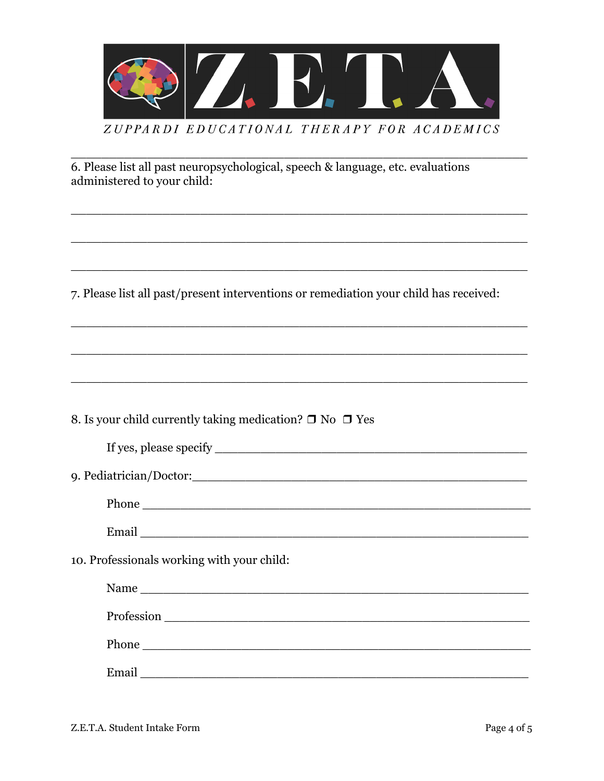

6. Please list all past neuropsychological, speech & language, etc. evaluations administered to your child:

7. Please list all past/present interventions or remediation your child has received:

<u> 1989 - Johann John Stone, mars and deutscher Stone († 1989)</u>

| 8. Is your child currently taking medication? $\Box$ No $\Box$ Yes |
|--------------------------------------------------------------------|
|--------------------------------------------------------------------|

| If yes, please specify |  |
|------------------------|--|
|                        |  |

<u> 1989 - Johann John Stone, mars and deutscher Stone († 1989)</u>

| 9. Pediatrician/Doctor:_ |  |
|--------------------------|--|
|--------------------------|--|

10. Professionals working with your child:

| Name                                                                                                                          |  |
|-------------------------------------------------------------------------------------------------------------------------------|--|
|                                                                                                                               |  |
| Phone<br><u> 1980 - Jan Stein Stein Stein Stein Stein Stein Stein Stein Stein Stein Stein Stein Stein Stein Stein Stein S</u> |  |
| Email                                                                                                                         |  |
|                                                                                                                               |  |